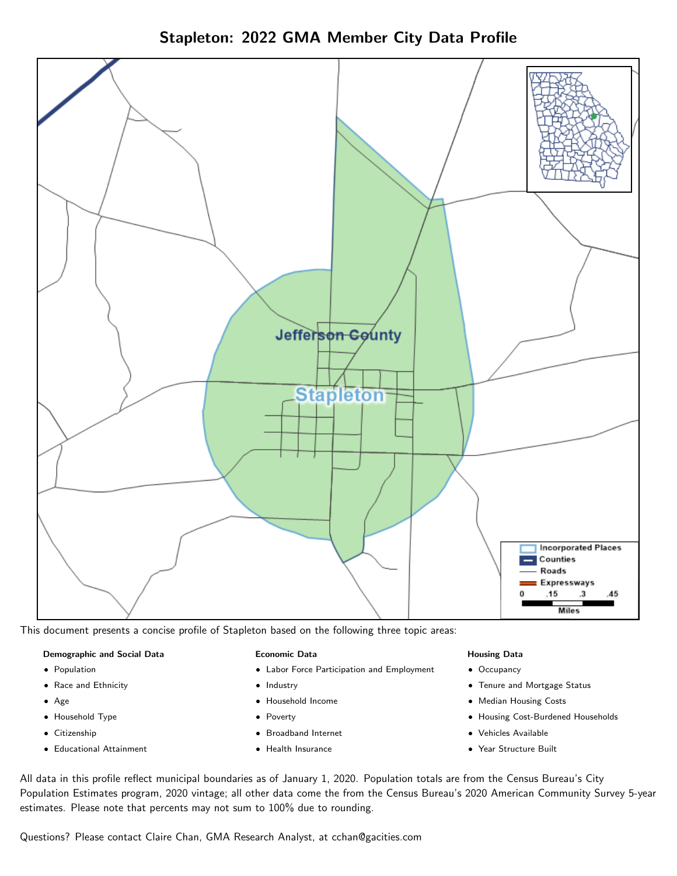



This document presents a concise profile of Stapleton based on the following three topic areas:

## Demographic and Social Data

- **•** Population
- Race and Ethnicity
- Age
- Household Type
- **Citizenship**
- Educational Attainment

## Economic Data

- Labor Force Participation and Employment
- Industry
- Household Income
- Poverty
- Broadband Internet
- Health Insurance

## Housing Data

- Occupancy
- Tenure and Mortgage Status
- Median Housing Costs
- Housing Cost-Burdened Households
- Vehicles Available
- Year Structure Built

All data in this profile reflect municipal boundaries as of January 1, 2020. Population totals are from the Census Bureau's City Population Estimates program, 2020 vintage; all other data come the from the Census Bureau's 2020 American Community Survey 5-year estimates. Please note that percents may not sum to 100% due to rounding.

Questions? Please contact Claire Chan, GMA Research Analyst, at [cchan@gacities.com.](mailto:cchan@gacities.com)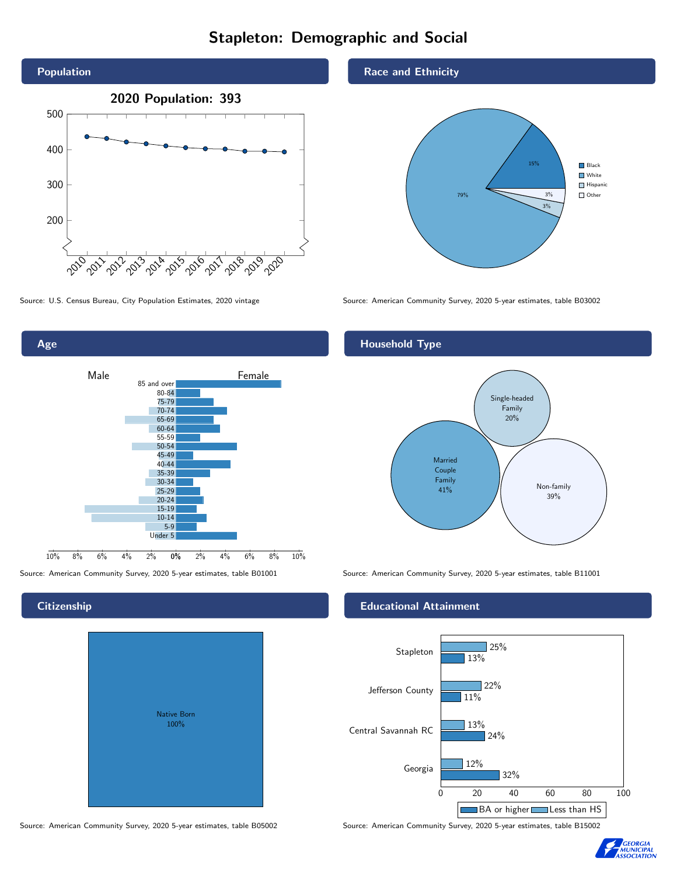# Stapleton: Demographic and Social





# **Citizenship**

Age

| Native Born |  |
|-------------|--|
| 100%        |  |

Race and Ethnicity



Source: U.S. Census Bureau, City Population Estimates, 2020 vintage Source: American Community Survey, 2020 5-year estimates, table B03002

## Household Type



Source: American Community Survey, 2020 5-year estimates, table B01001 Source: American Community Survey, 2020 5-year estimates, table B11001

## Educational Attainment



Source: American Community Survey, 2020 5-year estimates, table B05002 Source: American Community Survey, 2020 5-year estimates, table B15002

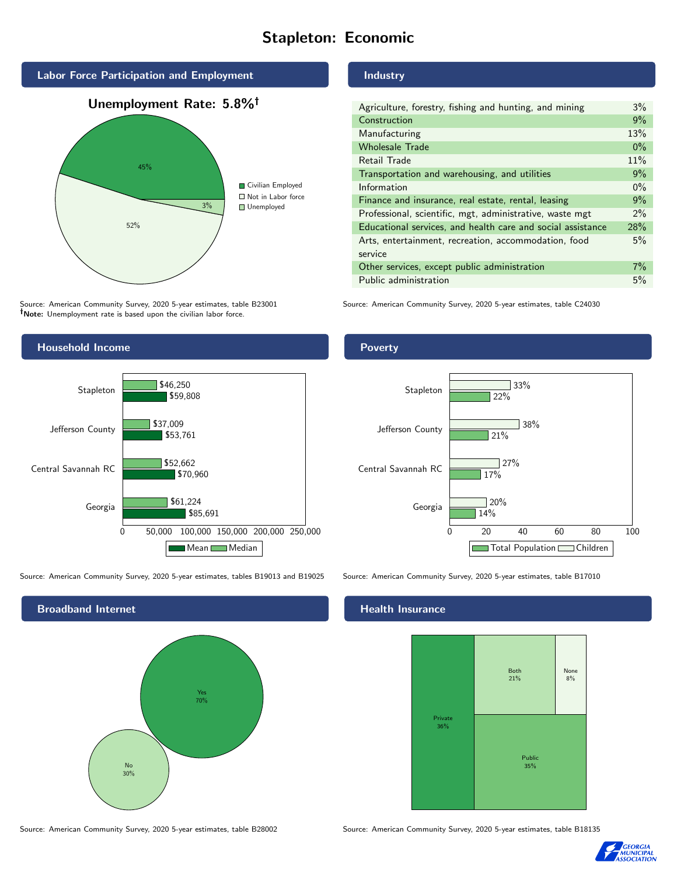# Stapleton: Economic



Source: American Community Survey, 2020 5-year estimates, table B23001 Note: Unemployment rate is based upon the civilian labor force.

# Household Income 0 50,000 100,000 150,000 200,000 250,000 Georgia Central Savannah RC Jefferson County Stapleton \$85,691 \$70,960 \$53,761 \$59,808 \$61,224 \$52,662 \$37,009 \$46,250 Mean Median

Source: American Community Survey, 2020 5-year estimates, tables B19013 and B19025 Source: American Community Survey, 2020 5-year estimates, table B17010

Broadband Internet No 30% Yes 70%

**Industry** 

| Agriculture, forestry, fishing and hunting, and mining      | 3%    |
|-------------------------------------------------------------|-------|
| Construction                                                | 9%    |
| Manufacturing                                               | 13%   |
| <b>Wholesale Trade</b>                                      | $0\%$ |
| Retail Trade                                                | 11%   |
| Transportation and warehousing, and utilities               |       |
| Information                                                 |       |
| Finance and insurance, real estate, rental, leasing         |       |
| Professional, scientific, mgt, administrative, waste mgt    |       |
| Educational services, and health care and social assistance |       |
| Arts, entertainment, recreation, accommodation, food        |       |
| service                                                     |       |
| Other services, except public administration                |       |
| Public administration                                       |       |

Source: American Community Survey, 2020 5-year estimates, table C24030

**Poverty** 



## Health Insurance



Source: American Community Survey, 2020 5-year estimates, table B28002 Source: American Community Survey, 2020 5-year estimates, table B18135